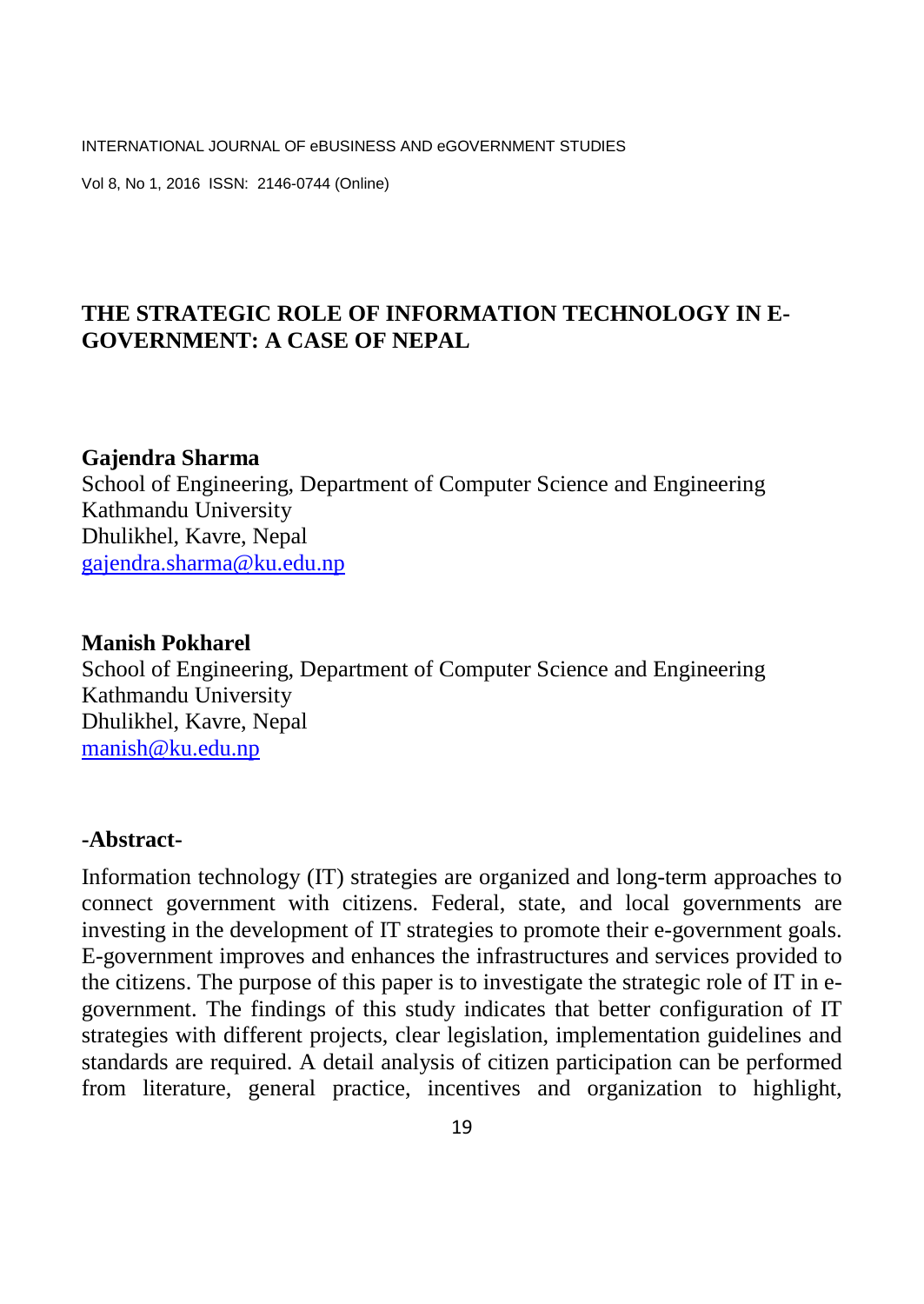INTERNATIONAL JOURNAL OF eBUSINESS AND eGOVERNMENT STUDIES

Vol 8, No 1, 2016 ISSN: 2146-0744 (Online)

## **THE STRATEGIC ROLE OF INFORMATION TECHNOLOGY IN E-GOVERNMENT: A CASE OF NEPAL**

#### **Gajendra Sharma**

School of Engineering, Department of Computer Science and Engineering Kathmandu University Dhulikhel, Kavre, Nepal [gajendra.sharma@ku.edu.np](mailto:gajendra.sharma@ku.edu.np)

#### **Manish Pokharel**

School of Engineering, Department of Computer Science and Engineering Kathmandu University Dhulikhel, Kavre, Nepal [manish@ku.edu.np](mailto:manish@ku.edu.np)

#### **-Abstract-**

Information technology (IT) strategies are organized and long-term approaches to connect government with citizens. Federal, state, and local governments are investing in the development of IT strategies to promote their e-government goals. E-government improves and enhances the infrastructures and services provided to the citizens. The purpose of this paper is to investigate the strategic role of IT in egovernment. The findings of this study indicates that better configuration of IT strategies with different projects, clear legislation, implementation guidelines and standards are required. A detail analysis of citizen participation can be performed from literature, general practice, incentives and organization to highlight,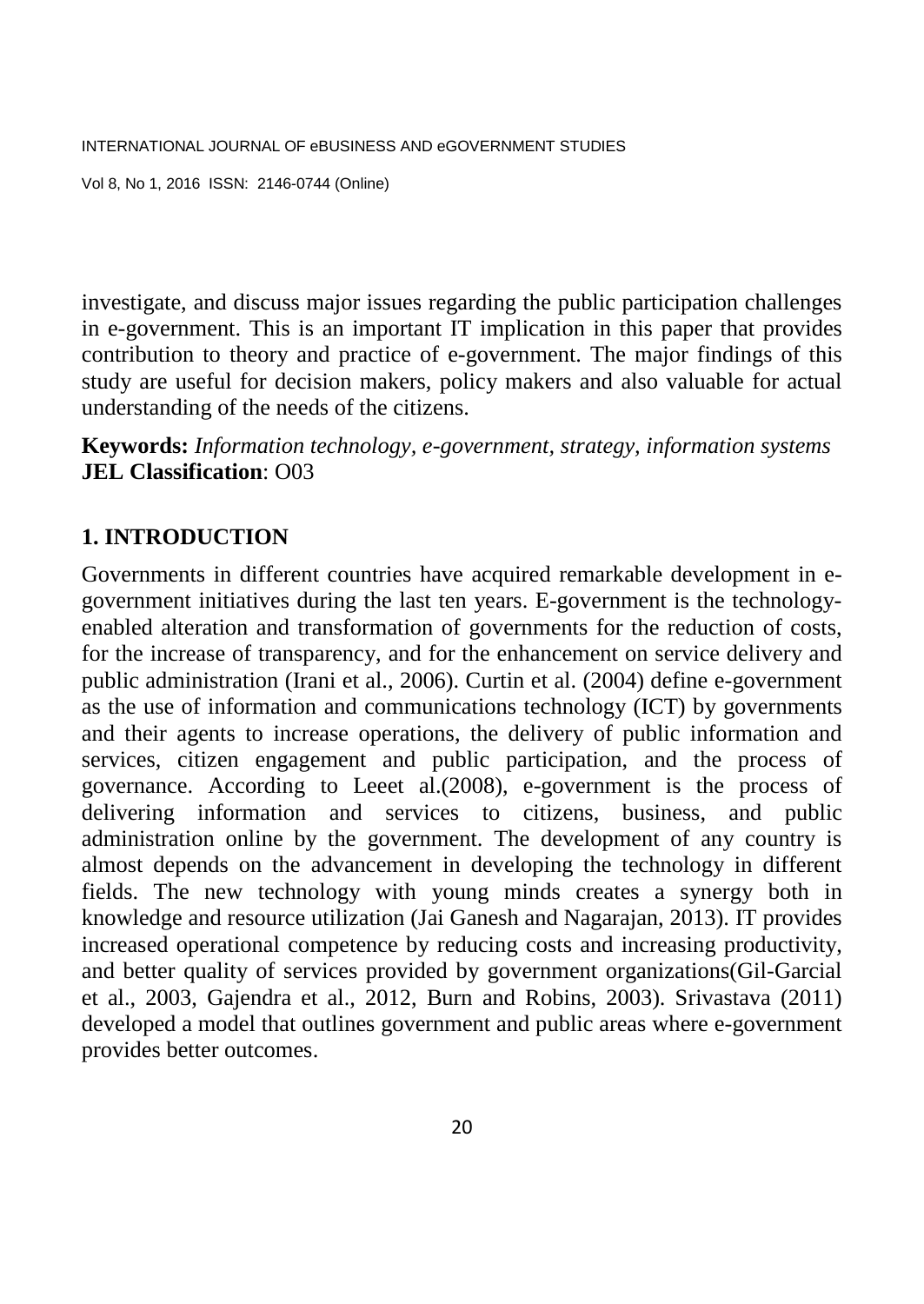investigate, and discuss major issues regarding the public participation challenges in e-government. This is an important IT implication in this paper that provides contribution to theory and practice of e-government. The major findings of this study are useful for decision makers, policy makers and also valuable for actual understanding of the needs of the citizens.

**Keywords:** *Information technology, e-government, strategy, information systems* **JEL Classification**: O03

## **1. INTRODUCTION**

Governments in different countries have acquired remarkable development in egovernment initiatives during the last ten years. E-government is the technologyenabled alteration and transformation of governments for the reduction of costs, for the increase of transparency, and for the enhancement on service delivery and public administration (Irani et al., 2006). Curtin et al. (2004) define e-government as the use of information and communications technology (ICT) by governments and their agents to increase operations, the delivery of public information and services, citizen engagement and public participation, and the process of governance. According to Leeet al.(2008), e-government is the process of delivering information and services to citizens, business, and public administration online by the government. The development of any country is almost depends on the advancement in developing the technology in different fields. The new technology with young minds creates a synergy both in knowledge and resource utilization (Jai Ganesh and Nagarajan, 2013). IT provides increased operational competence by reducing costs and increasing productivity, and better quality of services provided by government organizations(Gil-Garcial et al., 2003, Gajendra et al., 2012, Burn and Robins, 2003). Srivastava (2011) developed a model that outlines government and public areas where e-government provides better outcomes.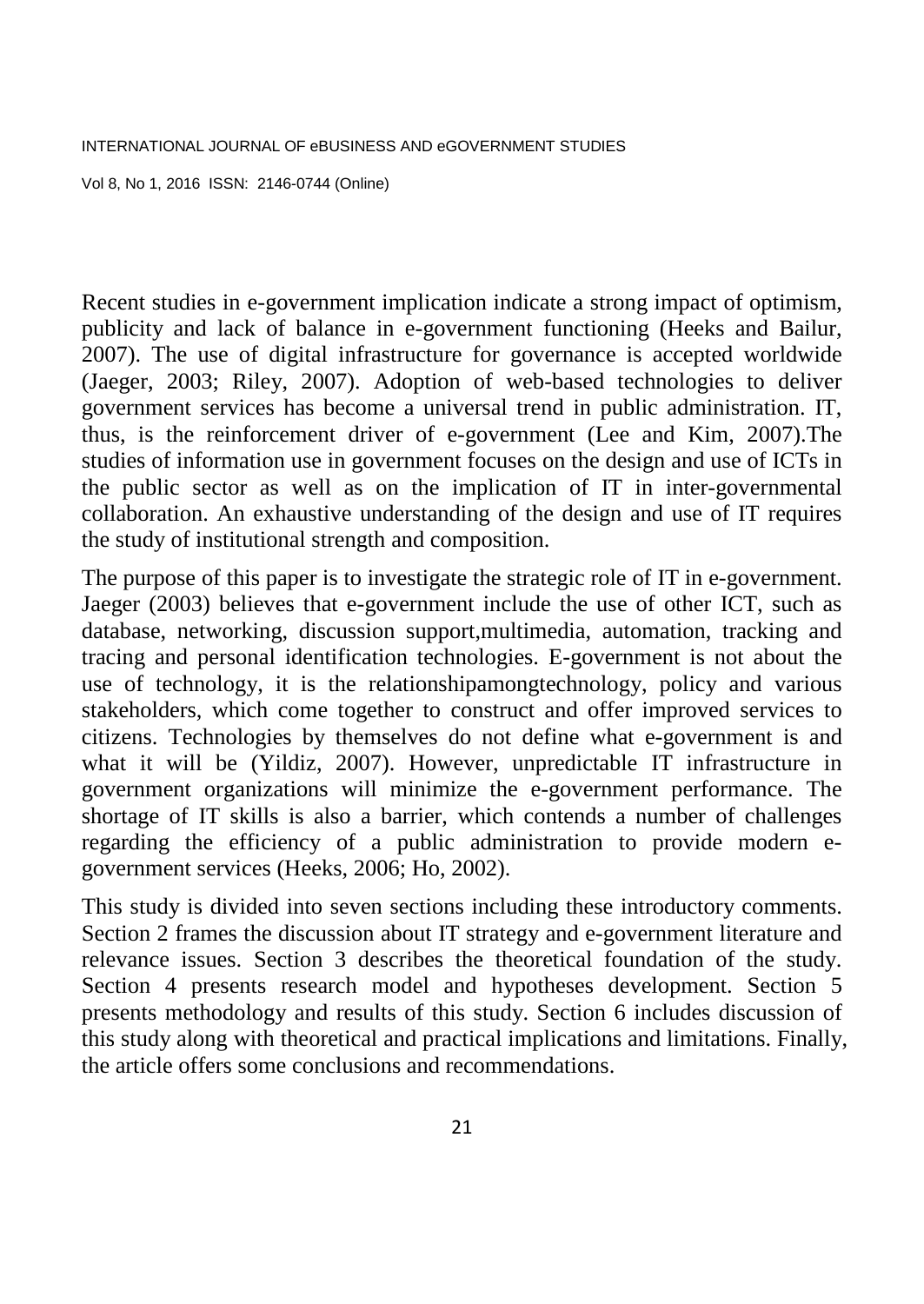Recent studies in e-government implication indicate a strong impact of optimism, publicity and lack of balance in e-government functioning (Heeks and Bailur, 2007). The use of digital infrastructure for governance is accepted worldwide (Jaeger, 2003; Riley, 2007). Adoption of web-based technologies to deliver government services has become a universal trend in public administration. IT, thus, is the reinforcement driver of e-government (Lee and Kim, 2007).The studies of information use in government focuses on the design and use of ICTs in the public sector as well as on the implication of IT in inter-governmental collaboration. An exhaustive understanding of the design and use of IT requires the study of institutional strength and composition.

The purpose of this paper is to investigate the strategic role of IT in e-government. Jaeger (2003) believes that e-government include the use of other ICT, such as database, networking, discussion support,multimedia, automation, tracking and tracing and personal identification technologies. E-government is not about the use of technology, it is the relationshipamongtechnology, policy and various stakeholders, which come together to construct and offer improved services to citizens. Technologies by themselves do not define what e-government is and what it will be (Yildiz, 2007). However, unpredictable IT infrastructure in government organizations will minimize the e-government performance. The shortage of IT skills is also a barrier, which contends a number of challenges regarding the efficiency of a public administration to provide modern egovernment services (Heeks, 2006; Ho, 2002).

This study is divided into seven sections including these introductory comments. Section 2 frames the discussion about IT strategy and e-government literature and relevance issues. Section 3 describes the theoretical foundation of the study. Section 4 presents research model and hypotheses development. Section 5 presents methodology and results of this study. Section 6 includes discussion of this study along with theoretical and practical implications and limitations. Finally, the article offers some conclusions and recommendations.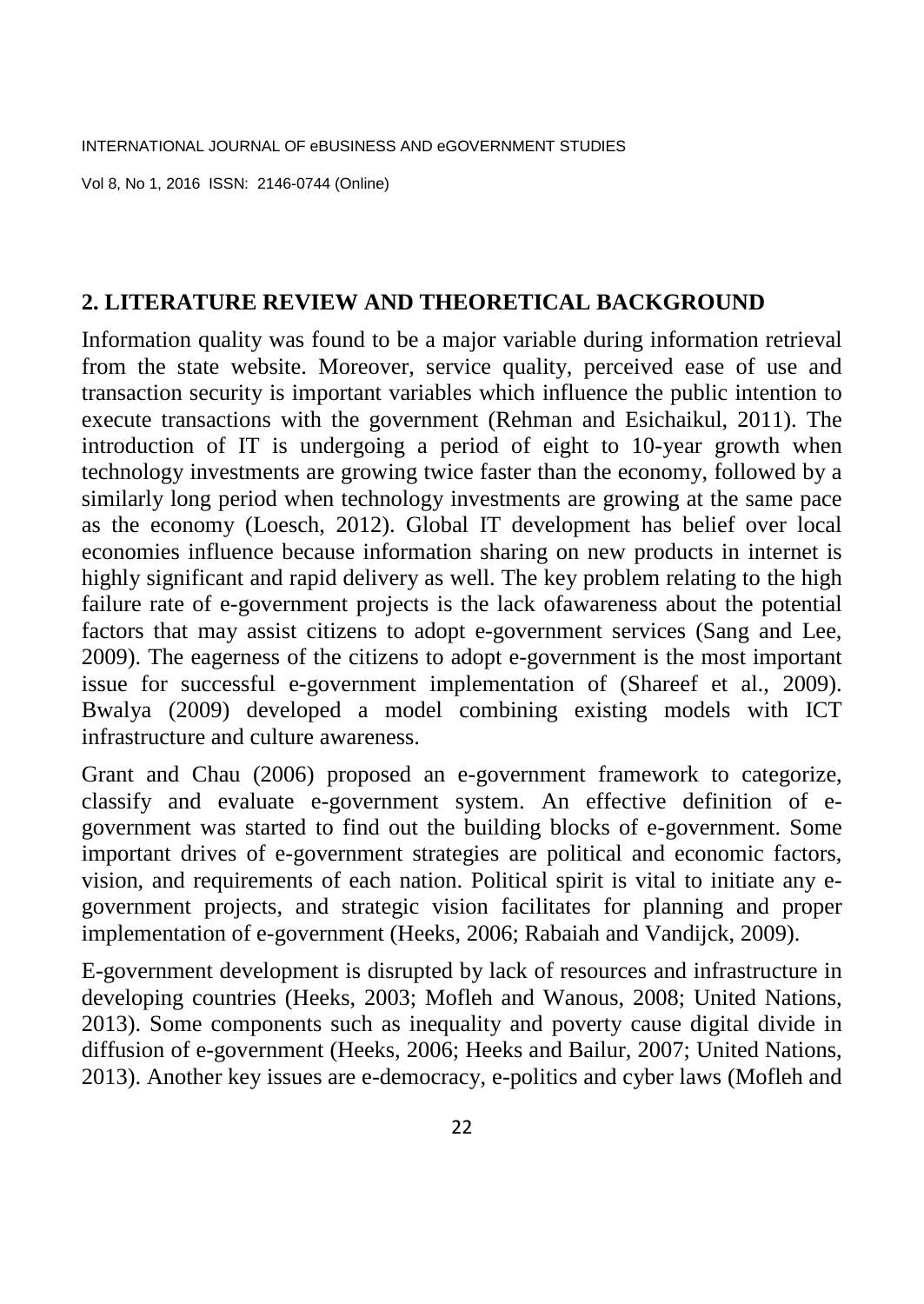# **2. LITERATURE REVIEW AND THEORETICAL BACKGROUND**

Information quality was found to be a major variable during information retrieval from the state website. Moreover, service quality, perceived ease of use and transaction security is important variables which influence the public intention to execute transactions with the government (Rehman and Esichaikul, 2011). The introduction of IT is undergoing a period of eight to 10-year growth when technology investments are growing twice faster than the economy, followed by a similarly long period when technology investments are growing at the same pace as the economy (Loesch, 2012). Global IT development has belief over local economies influence because information sharing on new products in internet is highly significant and rapid delivery as well. The key problem relating to the high failure rate of e-government projects is the lack ofawareness about the potential factors that may assist citizens to adopt e-government services (Sang and Lee, 2009). The eagerness of the citizens to adopt e-government is the most important issue for successful e-government implementation of (Shareef et al., 2009). Bwalya (2009) developed a model combining existing models with ICT infrastructure and culture awareness.

Grant and Chau (2006) proposed an e-government framework to categorize, classify and evaluate e-government system. An effective definition of egovernment was started to find out the building blocks of e-government. Some important drives of e-government strategies are political and economic factors, vision, and requirements of each nation. Political spirit is vital to initiate any egovernment projects, and strategic vision facilitates for planning and proper implementation of e-government (Heeks, 2006; Rabaiah and Vandijck, 2009).

E-government development is disrupted by lack of resources and infrastructure in developing countries (Heeks, 2003; Mofleh and Wanous, 2008; United Nations, 2013). Some components such as inequality and poverty cause digital divide in diffusion of e-government (Heeks, 2006; Heeks and Bailur, 2007; United Nations, 2013). Another key issues are e-democracy, e-politics and cyber laws (Mofleh and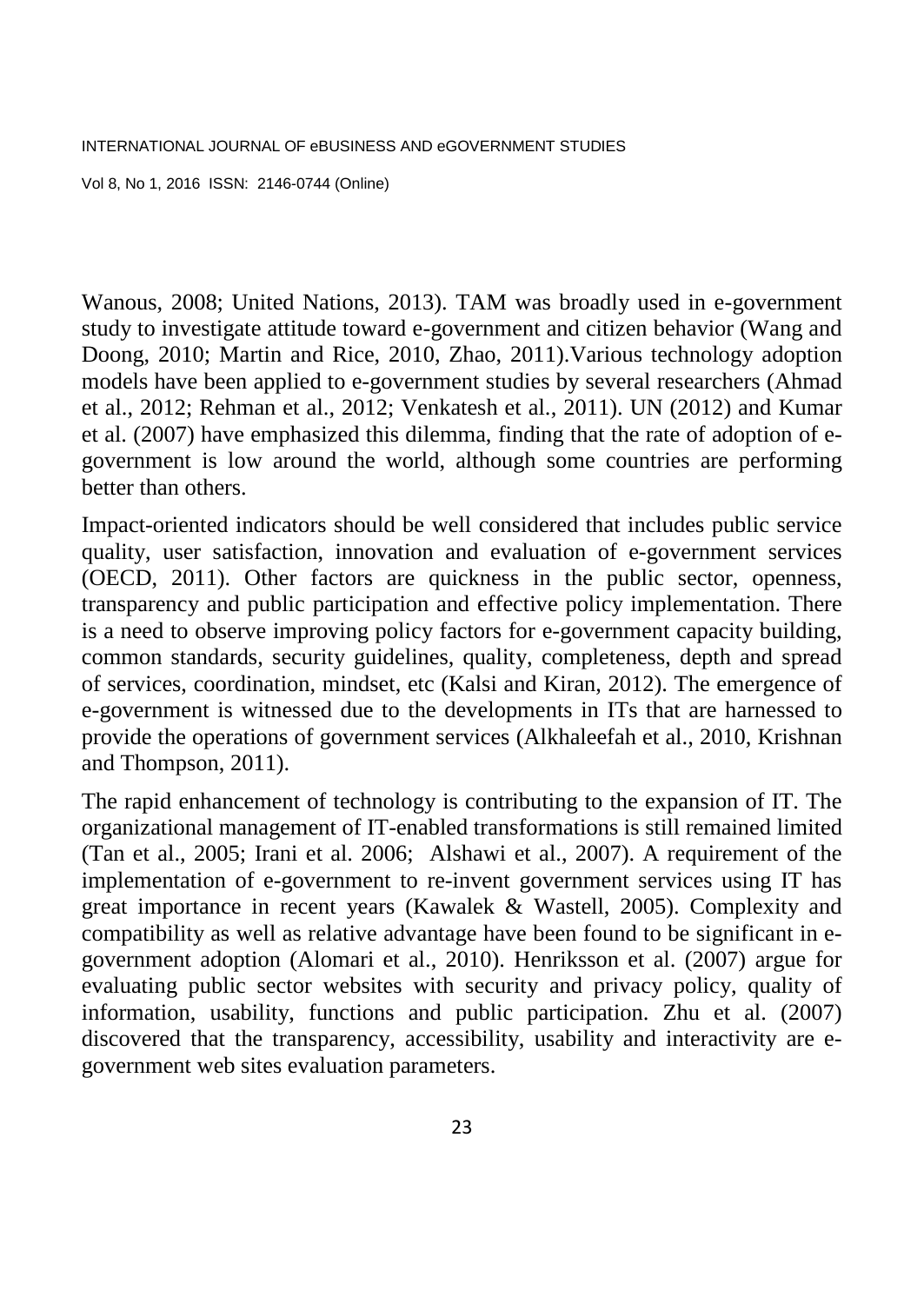Wanous, 2008; United Nations, 2013). TAM was broadly used in e-government study to investigate attitude toward e-government and citizen behavior (Wang and Doong, 2010; Martin and Rice, 2010, Zhao, 2011).Various technology adoption models have been applied to e-government studies by several researchers (Ahmad et al., 2012; Rehman et al., 2012; Venkatesh et al., 2011). UN (2012) and Kumar et al. (2007) have emphasized this dilemma, finding that the rate of adoption of egovernment is low around the world, although some countries are performing better than others.

Impact-oriented indicators should be well considered that includes public service quality, user satisfaction, innovation and evaluation of e-government services (OECD, 2011). Other factors are quickness in the public sector, openness, transparency and public participation and effective policy implementation. There is a need to observe improving policy factors for e-government capacity building, common standards, security guidelines, quality, completeness, depth and spread of services, coordination, mindset, etc (Kalsi and Kiran, 2012). The emergence of e-government is witnessed due to the developments in ITs that are harnessed to provide the operations of government services (Alkhaleefah et al., 2010, Krishnan and Thompson, 2011).

The rapid enhancement of technology is contributing to the expansion of IT. The organizational management of IT-enabled transformations is still remained limited (Tan et al., 2005; Irani et al. 2006; Alshawi et al., 2007). A requirement of the implementation of e-government to re-invent government services using IT has great importance in recent years (Kawalek & Wastell, 2005). Complexity and compatibility as well as relative advantage have been found to be significant in egovernment adoption (Alomari et al., 2010). Henriksson et al. (2007) argue for evaluating public sector websites with security and privacy policy, quality of information, usability, functions and public participation. Zhu et al. (2007) discovered that the transparency, accessibility, usability and interactivity are egovernment web sites evaluation parameters.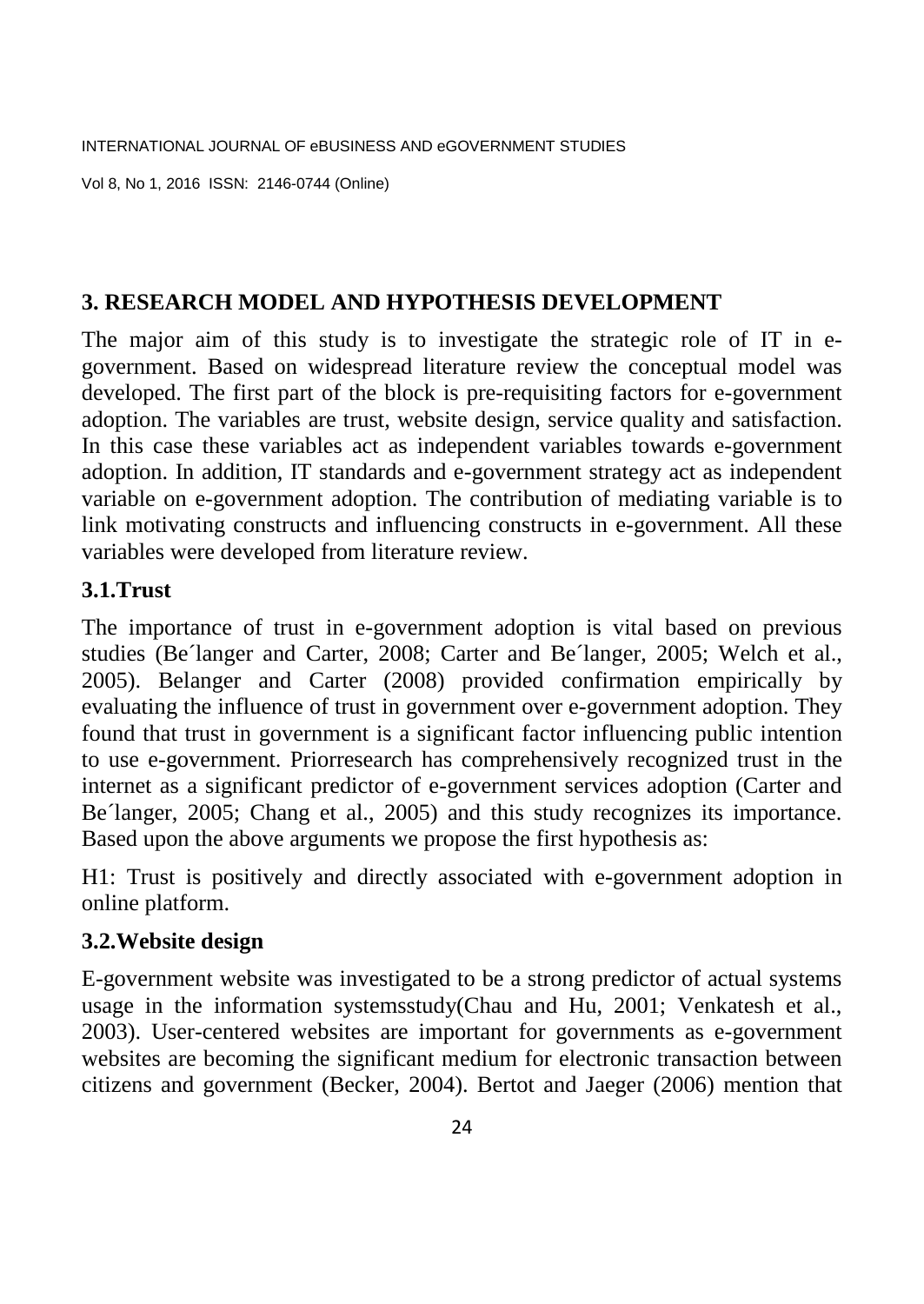## **3. RESEARCH MODEL AND HYPOTHESIS DEVELOPMENT**

The major aim of this study is to investigate the strategic role of IT in egovernment. Based on widespread literature review the conceptual model was developed. The first part of the block is pre-requisiting factors for e-government adoption. The variables are trust, website design, service quality and satisfaction. In this case these variables act as independent variables towards e-government adoption. In addition, IT standards and e-government strategy act as independent variable on e-government adoption. The contribution of mediating variable is to link motivating constructs and influencing constructs in e-government. All these variables were developed from literature review.

#### **3.1.Trust**

The importance of trust in e-government adoption is vital based on previous studies (Be´langer and Carter, 2008; Carter and Be´langer, 2005; Welch et al., 2005). Belanger and Carter (2008) provided confirmation empirically by evaluating the influence of trust in government over e-government adoption. They found that trust in government is a significant factor influencing public intention to use e-government. Priorresearch has comprehensively recognized trust in the internet as a significant predictor of e-government services adoption (Carter and Be<sup> $\alpha$ </sup>langer, 2005; Chang et al., 2005) and this study recognizes its importance. Based upon the above arguments we propose the first hypothesis as:

H1: Trust is positively and directly associated with e-government adoption in online platform.

#### **3.2.Website design**

E-government website was investigated to be a strong predictor of actual systems usage in the information systemsstudy(Chau and Hu, 2001; Venkatesh et al., 2003). User-centered websites are important for governments as e-government websites are becoming the significant medium for electronic transaction between citizens and government (Becker, 2004). Bertot and Jaeger (2006) mention that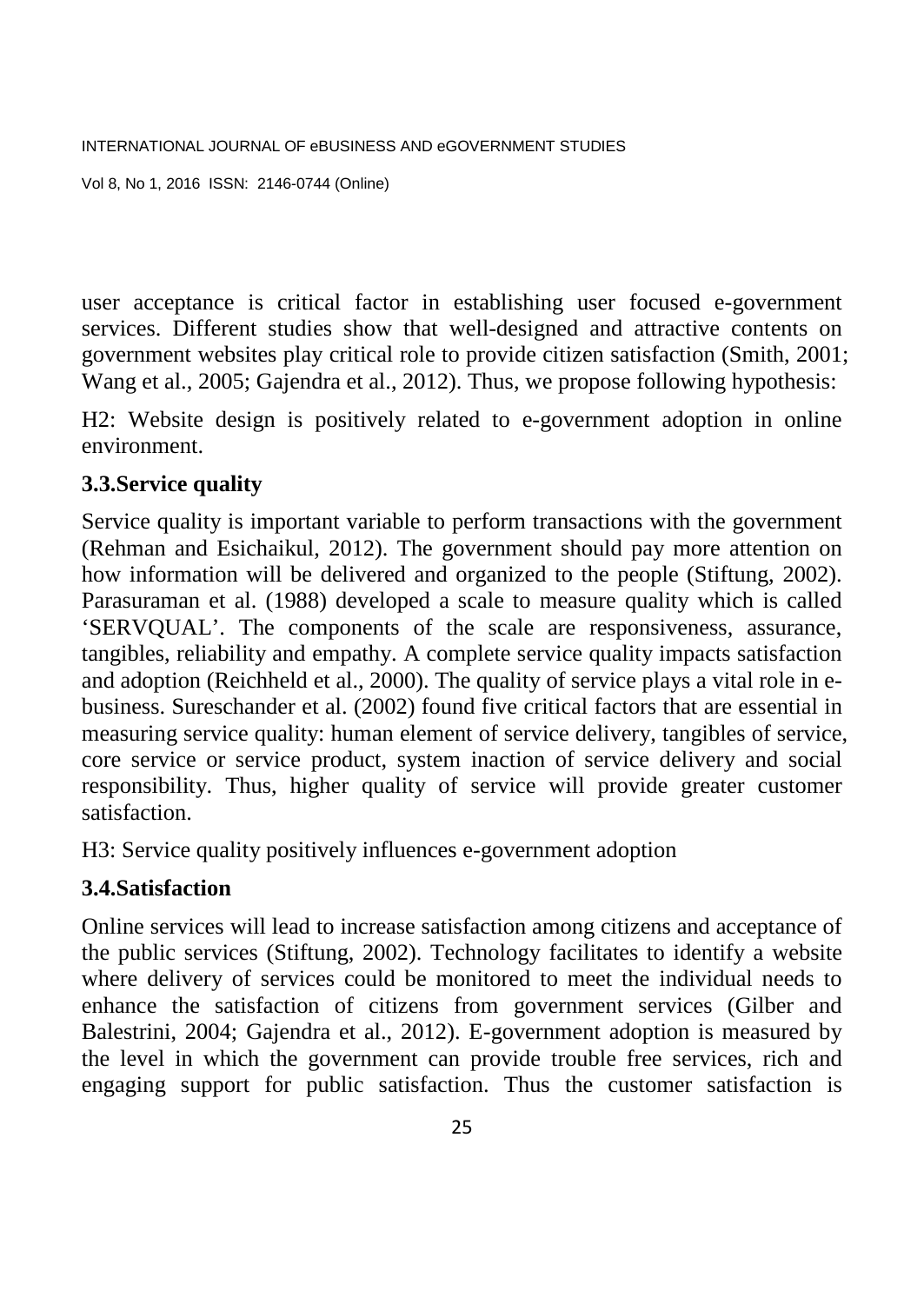user acceptance is critical factor in establishing user focused e-government services. Different studies show that well-designed and attractive contents on government websites play critical role to provide citizen satisfaction (Smith, 2001; Wang et al., 2005; Gajendra et al., 2012). Thus, we propose following hypothesis:

H2: Website design is positively related to e-government adoption in online environment.

## **3.3.Service quality**

Service quality is important variable to perform transactions with the government (Rehman and Esichaikul, 2012). The government should pay more attention on how information will be delivered and organized to the people (Stiftung, 2002). Parasuraman et al. (1988) developed a scale to measure quality which is called 'SERVQUAL'. The components of the scale are responsiveness, assurance, tangibles, reliability and empathy. A complete service quality impacts satisfaction and adoption (Reichheld et al., 2000). The quality of service plays a vital role in ebusiness. Sureschander et al. (2002) found five critical factors that are essential in measuring service quality: human element of service delivery, tangibles of service, core service or service product, system inaction of service delivery and social responsibility. Thus, higher quality of service will provide greater customer satisfaction.

H3: Service quality positively influences e-government adoption

# **3.4.Satisfaction**

Online services will lead to increase satisfaction among citizens and acceptance of the public services (Stiftung, 2002). Technology facilitates to identify a website where delivery of services could be monitored to meet the individual needs to enhance the satisfaction of citizens from government services (Gilber and Balestrini, 2004; Gajendra et al., 2012). E-government adoption is measured by the level in which the government can provide trouble free services, rich and engaging support for public satisfaction. Thus the customer satisfaction is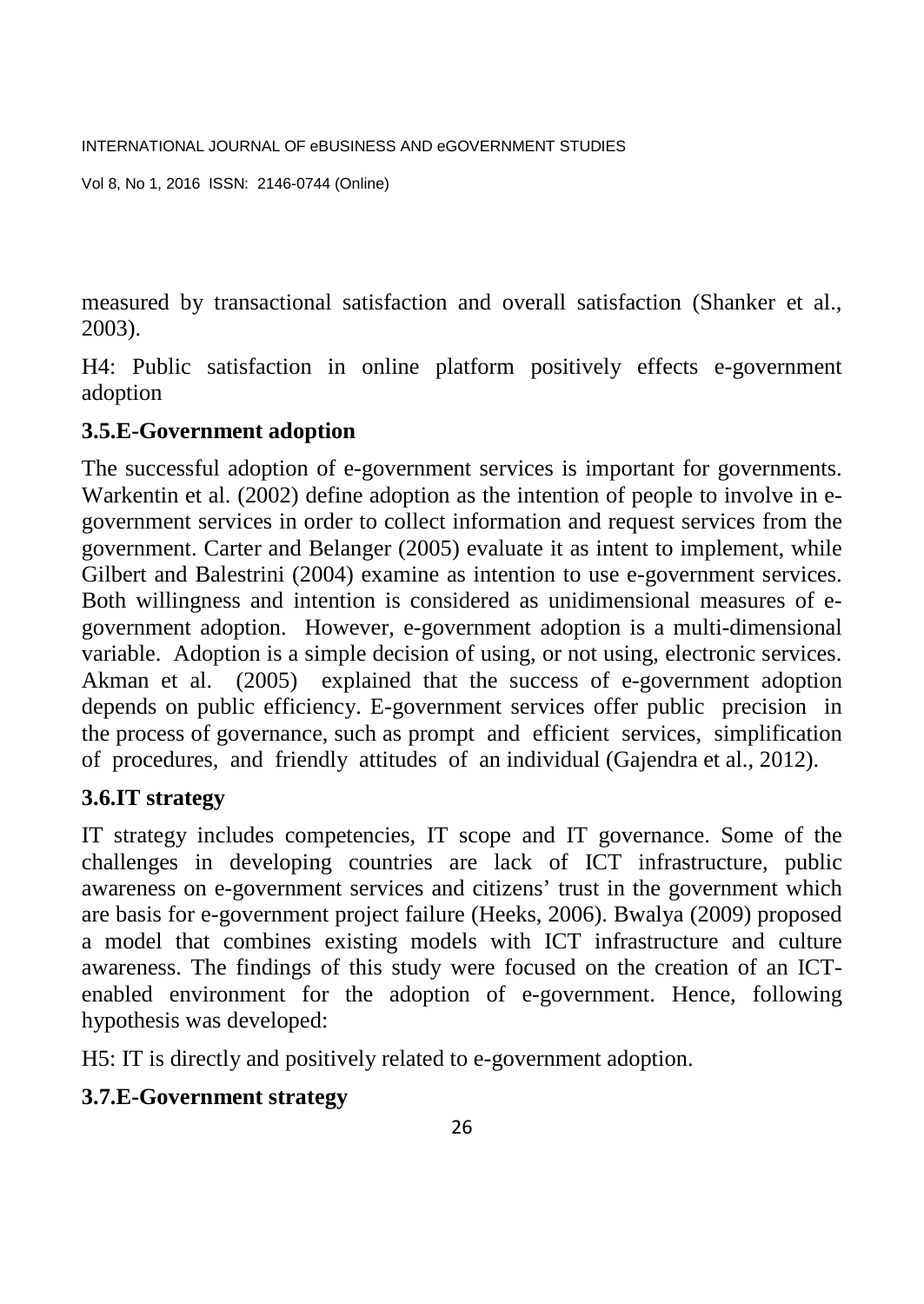measured by transactional satisfaction and overall satisfaction (Shanker et al., 2003).

H4: Public satisfaction in online platform positively effects e-government adoption

# **3.5.E-Government adoption**

The successful adoption of e-government services is important for governments. Warkentin et al. (2002) define adoption as the intention of people to involve in egovernment services in order to collect information and request services from the government. Carter and Belanger (2005) evaluate it as intent to implement, while Gilbert and Balestrini (2004) examine as intention to use e-government services. Both willingness and intention is considered as unidimensional measures of egovernment adoption. However, e-government adoption is a multi-dimensional variable. Adoption is a simple decision of using, or not using, electronic services. Akman et al. (2005) explained that the success of e-government adoption depends on public efficiency. E-government services offer public precision in the process of governance, such as prompt and efficient services, simplification of procedures, and friendly attitudes of an individual (Gajendra et al., 2012).

# **3.6.IT strategy**

IT strategy includes competencies, IT scope and IT governance. Some of the challenges in developing countries are lack of ICT infrastructure, public awareness on e-government services and citizens' trust in the government which are basis for e-government project failure (Heeks, 2006). Bwalya (2009) proposed a model that combines existing models with ICT infrastructure and culture awareness. The findings of this study were focused on the creation of an ICTenabled environment for the adoption of e-government. Hence, following hypothesis was developed:

H5: IT is directly and positively related to e-government adoption.

# **3.7.E-Government strategy**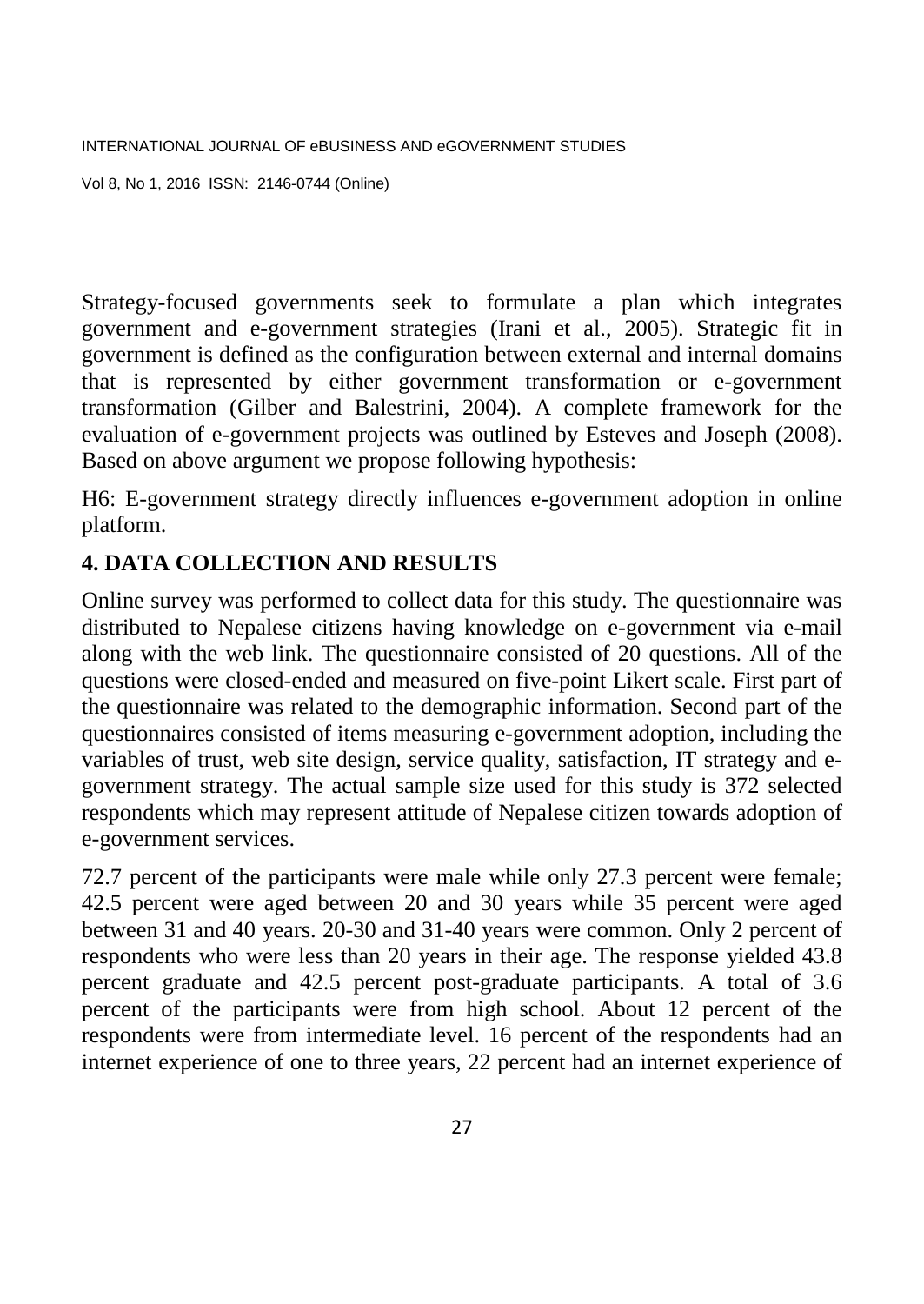Strategy-focused governments seek to formulate a plan which integrates government and e-government strategies (Irani et al., 2005). Strategic fit in government is defined as the configuration between external and internal domains that is represented by either government transformation or e-government transformation (Gilber and Balestrini, 2004). A complete framework for the evaluation of e-government projects was outlined by Esteves and Joseph (2008). Based on above argument we propose following hypothesis:

H6: E-government strategy directly influences e-government adoption in online platform.

# **4. DATA COLLECTION AND RESULTS**

Online survey was performed to collect data for this study. The questionnaire was distributed to Nepalese citizens having knowledge on e-government via e-mail along with the web link. The questionnaire consisted of 20 questions. All of the questions were closed-ended and measured on five-point Likert scale. First part of the questionnaire was related to the demographic information. Second part of the questionnaires consisted of items measuring e-government adoption, including the variables of trust, web site design, service quality, satisfaction, IT strategy and egovernment strategy. The actual sample size used for this study is 372 selected respondents which may represent attitude of Nepalese citizen towards adoption of e-government services.

72.7 percent of the participants were male while only 27.3 percent were female; 42.5 percent were aged between 20 and 30 years while 35 percent were aged between 31 and 40 years. 20-30 and 31-40 years were common. Only 2 percent of respondents who were less than 20 years in their age. The response yielded 43.8 percent graduate and 42.5 percent post-graduate participants. A total of 3.6 percent of the participants were from high school. About 12 percent of the respondents were from intermediate level. 16 percent of the respondents had an internet experience of one to three years, 22 percent had an internet experience of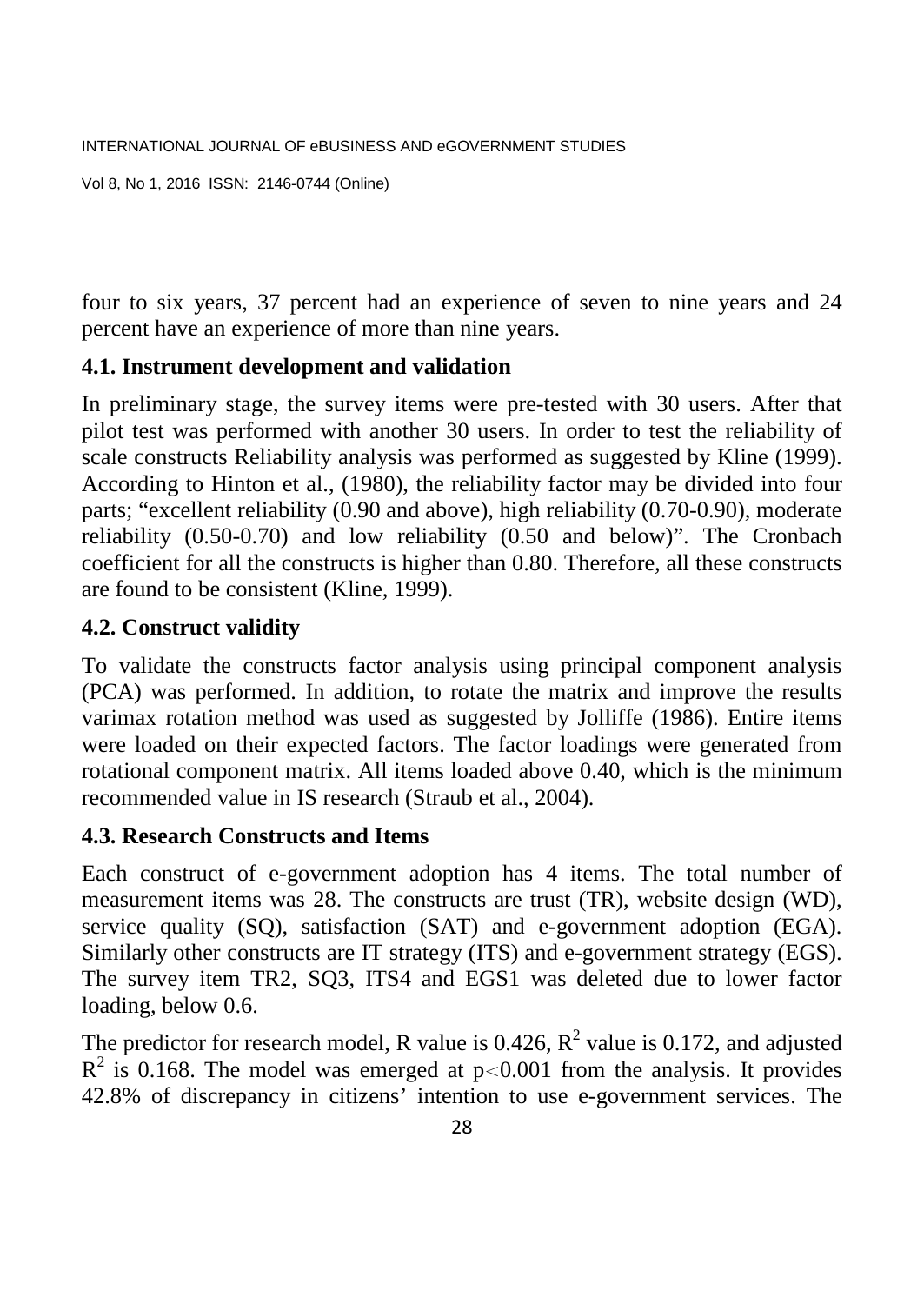four to six years, 37 percent had an experience of seven to nine years and 24 percent have an experience of more than nine years.

# **4.1. Instrument development and validation**

In preliminary stage, the survey items were pre-tested with 30 users. After that pilot test was performed with another 30 users. In order to test the reliability of scale constructs Reliability analysis was performed as suggested by Kline (1999). According to Hinton et al., (1980), the reliability factor may be divided into four parts; "excellent reliability (0.90 and above), high reliability (0.70-0.90), moderate reliability (0.50-0.70) and low reliability (0.50 and below)". The Cronbach coefficient for all the constructs is higher than 0.80. Therefore, all these constructs are found to be consistent (Kline, 1999).

## **4.2. Construct validity**

To validate the constructs factor analysis using principal component analysis (PCA) was performed. In addition, to rotate the matrix and improve the results varimax rotation method was used as suggested by Jolliffe (1986). Entire items were loaded on their expected factors. The factor loadings were generated from rotational component matrix. All items loaded above 0.40, which is the minimum recommended value in IS research (Straub et al., 2004).

#### **4.3. Research Constructs and Items**

Each construct of e-government adoption has 4 items. The total number of measurement items was 28. The constructs are trust (TR), website design (WD), service quality (SQ), satisfaction (SAT) and e-government adoption (EGA). Similarly other constructs are IT strategy (ITS) and e-government strategy (EGS). The survey item TR2, SQ3, ITS4 and EGS1 was deleted due to lower factor loading, below 0.6.

The predictor for research model, R value is 0.426,  $R^2$  value is 0.172, and adjusted  $R^2$  is 0.168. The model was emerged at p<0.001 from the analysis. It provides 42.8% of discrepancy in citizens' intention to use e-government services. The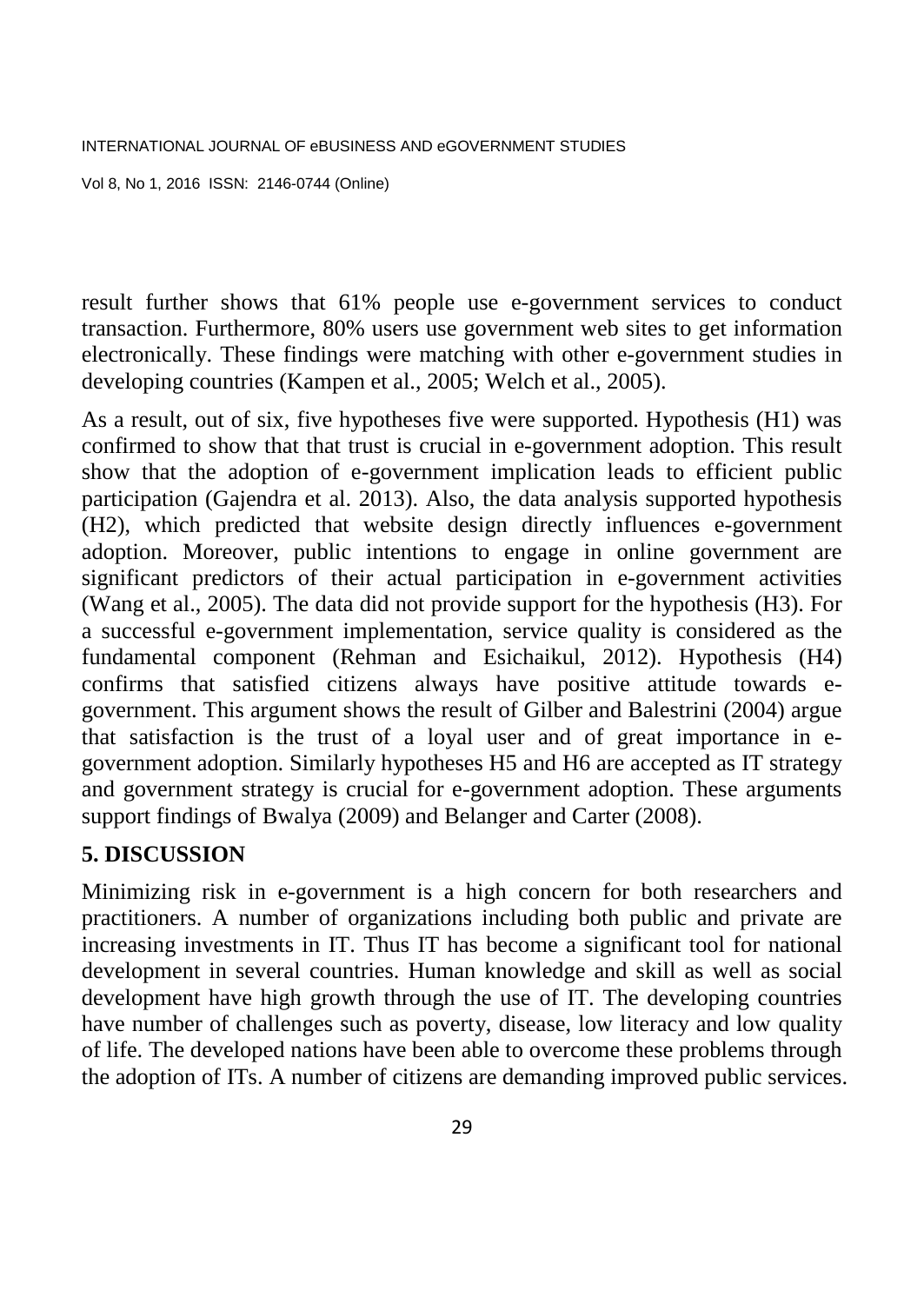result further shows that 61% people use e-government services to conduct transaction. Furthermore, 80% users use government web sites to get information electronically. These findings were matching with other e-government studies in developing countries (Kampen et al., 2005; Welch et al., 2005).

As a result, out of six, five hypotheses five were supported. Hypothesis (H1) was confirmed to show that that trust is crucial in e-government adoption. This result show that the adoption of e-government implication leads to efficient public participation (Gajendra et al. 2013). Also, the data analysis supported hypothesis (H2), which predicted that website design directly influences e-government adoption. Moreover, public intentions to engage in online government are significant predictors of their actual participation in e-government activities (Wang et al., 2005). The data did not provide support for the hypothesis (H3). For a successful e-government implementation, service quality is considered as the fundamental component (Rehman and Esichaikul, 2012). Hypothesis (H4) confirms that satisfied citizens always have positive attitude towards egovernment. This argument shows the result of Gilber and Balestrini (2004) argue that satisfaction is the trust of a loyal user and of great importance in egovernment adoption. Similarly hypotheses H5 and H6 are accepted as IT strategy and government strategy is crucial for e-government adoption. These arguments support findings of Bwalya (2009) and Belanger and Carter (2008).

#### **5. DISCUSSION**

Minimizing risk in e-government is a high concern for both researchers and practitioners. A number of organizations including both public and private are increasing investments in IT. Thus IT has become a significant tool for national development in several countries. Human knowledge and skill as well as social development have high growth through the use of IT. The developing countries have number of challenges such as poverty, disease, low literacy and low quality of life. The developed nations have been able to overcome these problems through the adoption of ITs. A number of citizens are demanding improved public services.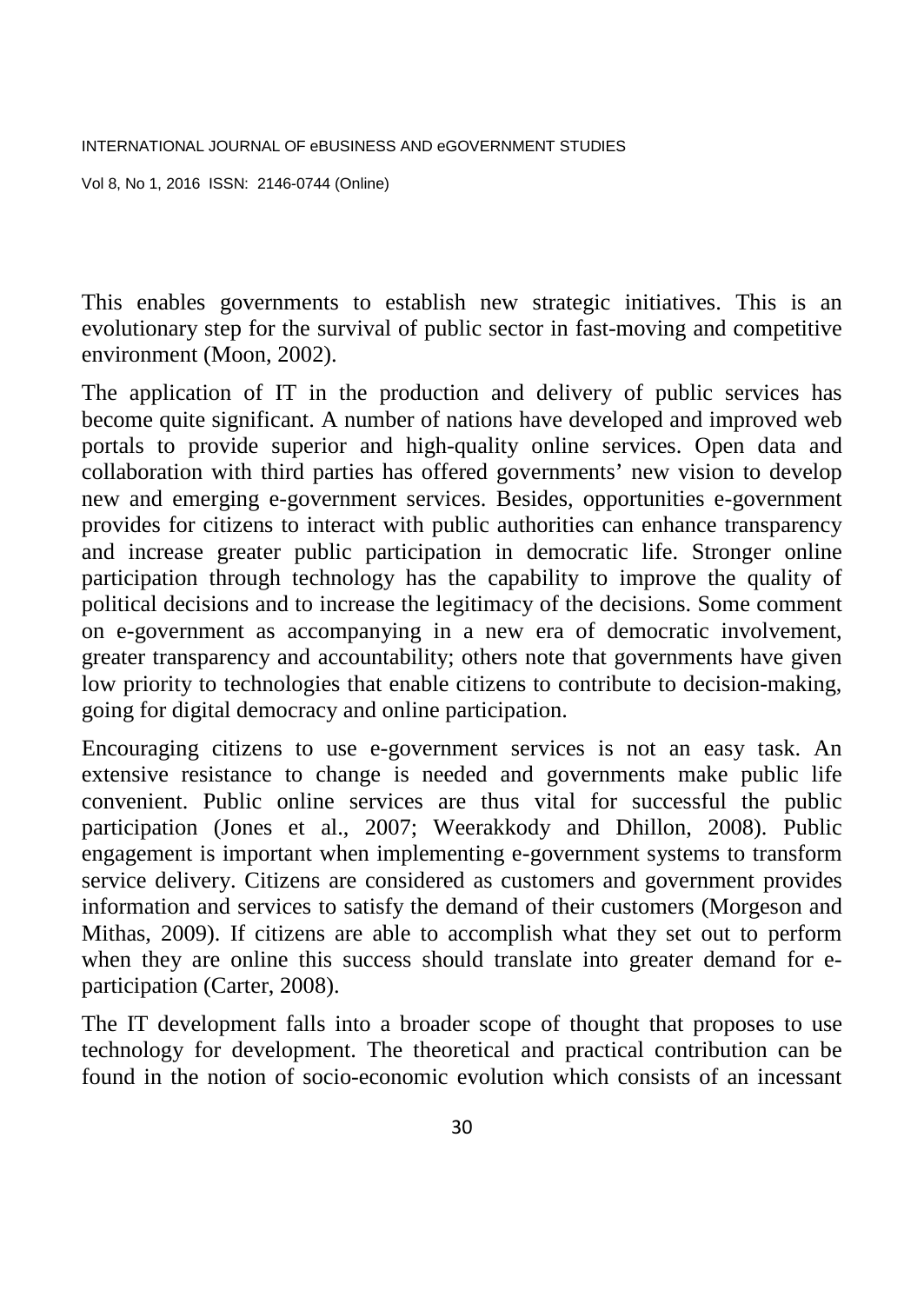This enables governments to establish new strategic initiatives. This is an evolutionary step for the survival of public sector in fast-moving and competitive environment (Moon, 2002).

The application of IT in the production and delivery of public services has become quite significant. A number of nations have developed and improved web portals to provide superior and high-quality online services. Open data and collaboration with third parties has offered governments' new vision to develop new and emerging e-government services. Besides, opportunities e-government provides for citizens to interact with public authorities can enhance transparency and increase greater public participation in democratic life. Stronger online participation through technology has the capability to improve the quality of political decisions and to increase the legitimacy of the decisions. Some comment on e-government as accompanying in a new era of democratic involvement, greater transparency and accountability; others note that governments have given low priority to technologies that enable citizens to contribute to decision-making, going for digital democracy and online participation.

Encouraging citizens to use e-government services is not an easy task. An extensive resistance to change is needed and governments make public life convenient. Public online services are thus vital for successful the public participation (Jones et al., 2007; Weerakkody and Dhillon, 2008). Public engagement is important when implementing e-government systems to transform service delivery. Citizens are considered as customers and government provides information and services to satisfy the demand of their customers (Morgeson and Mithas, 2009). If citizens are able to accomplish what they set out to perform when they are online this success should translate into greater demand for eparticipation (Carter, 2008).

The IT development falls into a broader scope of thought that proposes to use technology for development. The theoretical and practical contribution can be found in the notion of socio-economic evolution which consists of an incessant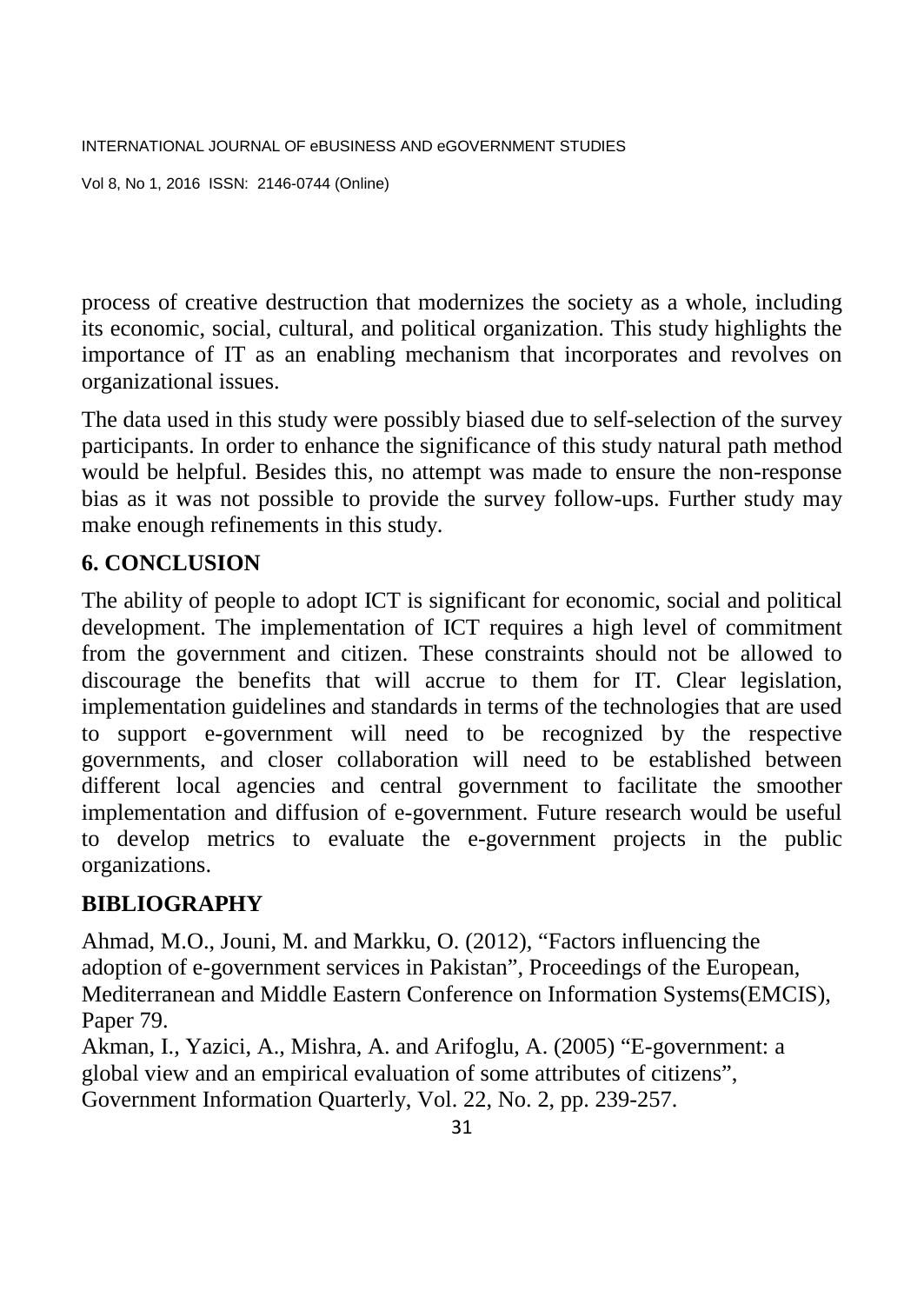process of [creative destruction](http://en.wikipedia.org/wiki/Creative_destruction) that modernizes the society as a whole, including its economic, social, cultural, and political organization. This study highlights the importance of IT as an enabling mechanism that incorporates and revolves on organizational issues.

The data used in this study were possibly biased due to self-selection of the survey participants. In order to enhance the significance of this study natural path method would be helpful. Besides this, no attempt was made to ensure the non-response bias as it was not possible to provide the survey follow-ups. Further study may make enough refinements in this study.

# **6. CONCLUSION**

The ability of people to adopt ICT is significant for economic, social and political development. The implementation of ICT requires a high level of commitment from the government and citizen. These constraints should not be allowed to discourage the benefits that will accrue to them for IT. Clear legislation, implementation guidelines and standards in terms of the technologies that are used to support e-government will need to be recognized by the respective governments, and closer collaboration will need to be established between different local agencies and central government to facilitate the smoother implementation and diffusion of e-government. Future research would be useful to develop metrics to evaluate the e-government projects in the public organizations.

# **BIBLIOGRAPHY**

Ahmad, M.O., Jouni, M. and Markku, O. (2012), "Factors influencing the adoption of e-government services in Pakistan", Proceedings of the European, Mediterranean and Middle Eastern Conference on Information Systems(EMCIS), Paper 79.

Akman, I., Yazici, A., Mishra, A. and Arifoglu, A. (2005) "E-government: a global view and an empirical evaluation of some attributes of citizens", Government Information Quarterly, Vol. 22, No. 2, pp. 239-257.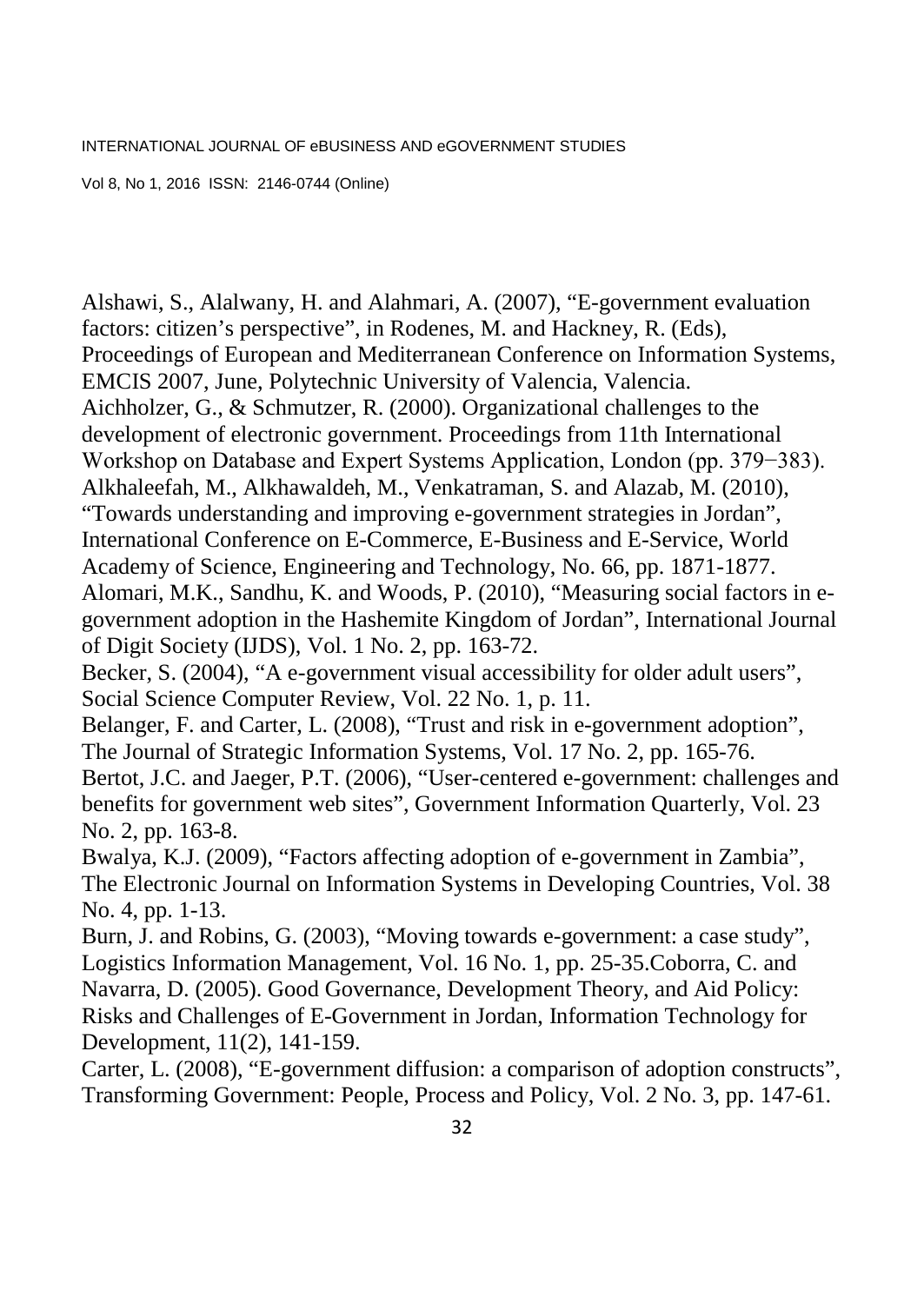Alshawi, S., Alalwany, H. and Alahmari, A. (2007), "E-government evaluation factors: citizen's perspective", in Rodenes, M. and Hackney, R. (Eds), Proceedings of European and Mediterranean Conference on Information Systems, EMCIS 2007, June, Polytechnic University of Valencia, Valencia. Aichholzer, G., & Schmutzer, R. (2000). Organizational challenges to the development of electronic government. Proceedings from 11th International Workshop on Database and Expert Systems Application, London (pp. 379−383). Alkhaleefah, M., Alkhawaldeh, M., Venkatraman, S. and Alazab, M. (2010), "Towards understanding and improving e-government strategies in Jordan", International Conference on E-Commerce, E-Business and E-Service, World Academy of Science, Engineering and Technology, No. 66, pp. 1871-1877. Alomari, M.K., Sandhu, K. and Woods, P. (2010), "Measuring social factors in egovernment adoption in the Hashemite Kingdom of Jordan", International Journal of Digit Society (IJDS), Vol. 1 No. 2, pp. 163-72. Becker, S. (2004), "A e-government visual accessibility for older adult users", Social Science Computer Review, Vol. 22 No. 1, p. 11. Belanger, F. and Carter, L. (2008), "Trust and risk in e-government adoption", The Journal of Strategic Information Systems, Vol. 17 No. 2, pp. 165-76. Bertot, J.C. and Jaeger, P.T. (2006), "User-centered e-government: challenges and benefits for government web sites", Government Information Quarterly, Vol. 23 No. 2, pp. 163-8. Bwalya, K.J. (2009), "Factors affecting adoption of e-government in Zambia", The Electronic Journal on Information Systems in Developing Countries, Vol. 38 No. 4, pp. 1-13. Burn, J. and Robins, G. (2003), "Moving towards e-government: a case study", Logistics Information Management, Vol. 16 No. 1, pp. 25-35.Coborra, C. and Navarra, D. (2005). Good Governance, Development Theory, and Aid Policy: Risks and Challenges of E-Government in Jordan, Information Technology for Development, 11(2), 141-159.

Carter, L. (2008), "E-government diffusion: a comparison of adoption constructs", Transforming Government: People, Process and Policy, Vol. 2 No. 3, pp. 147-61.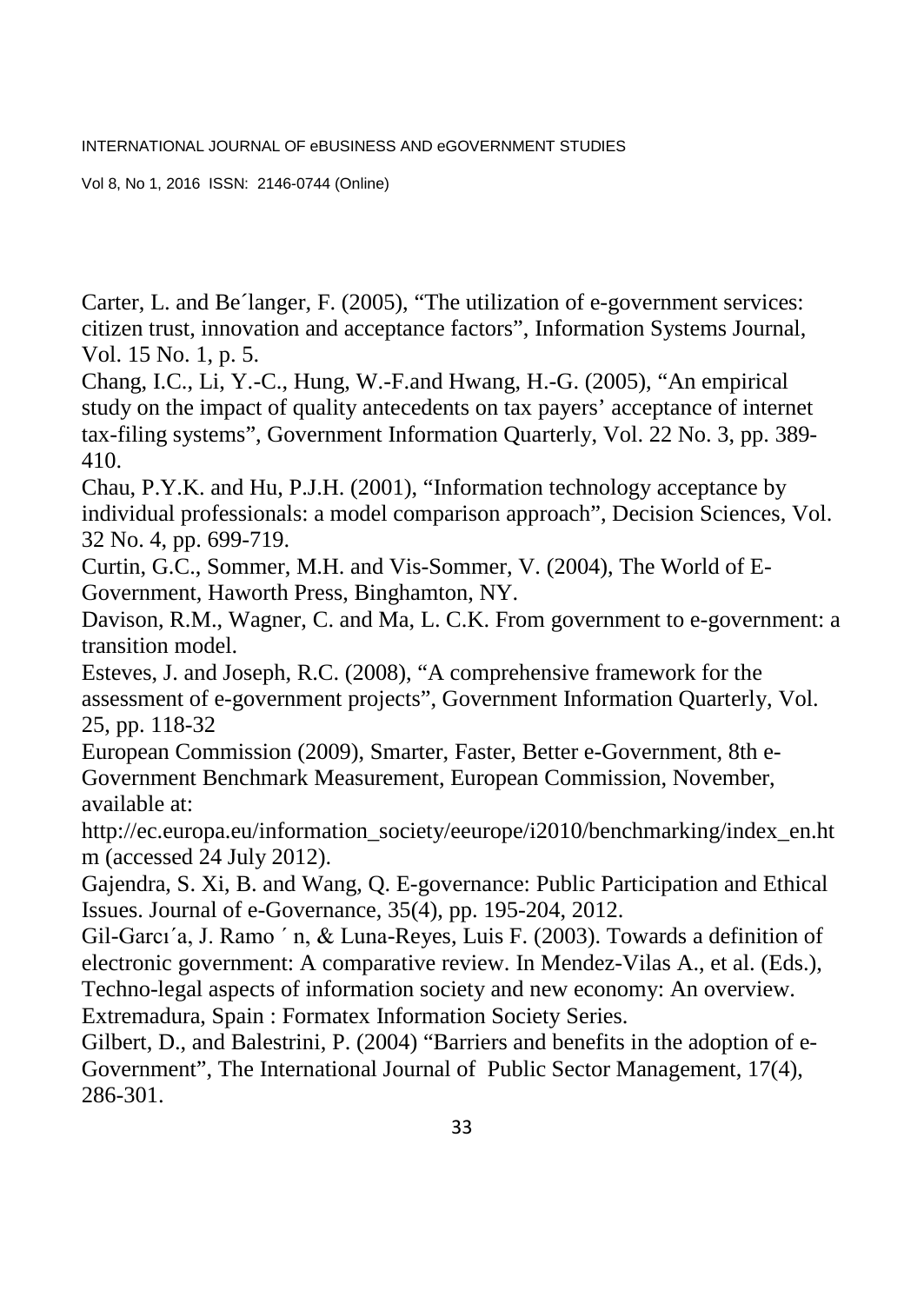Carter, L. and Be´langer, F. (2005), "The utilization of e-government services: citizen trust, innovation and acceptance factors", Information Systems Journal, Vol. 15 No. 1, p. 5.

Chang, I.C., Li, Y.-C., Hung, W.-F.and Hwang, H.-G. (2005), "An empirical study on the impact of quality antecedents on tax payers' acceptance of internet tax-filing systems", Government Information Quarterly, Vol. 22 No. 3, pp. 389- 410.

Chau, P.Y.K. and Hu, P.J.H. (2001), "Information technology acceptance by individual professionals: a model comparison approach", Decision Sciences, Vol. 32 No. 4, pp. 699-719.

Curtin, G.C., Sommer, M.H. and Vis-Sommer, V. (2004), The World of E-Government, Haworth Press, Binghamton, NY.

Davison, R.M., Wagner, C. and Ma, L. C.K. From government to e-government: a transition model.

Esteves, J. and Joseph, R.C. (2008), "A comprehensive framework for the assessment of e-government projects", Government Information Quarterly, Vol. 25, pp. 118-32

European Commission (2009), Smarter, Faster, Better e-Government, 8th e-Government Benchmark Measurement, European Commission, November, available at:

http://ec.europa.eu/information\_society/eeurope/i2010/benchmarking/index\_en.ht m (accessed 24 July 2012).

Gajendra, S. Xi, B. and Wang, Q. E-governance: Public Participation and Ethical Issues. Journal of e-Governance, 35(4), pp. 195-204, 2012.

Gil-Garcı´a, J. Ramo ´ n, & Luna-Reyes, Luis F. (2003). Towards a definition of electronic government: A comparative review. In Mendez-Vilas A., et al. (Eds.), Techno-legal aspects of information society and new economy: An overview. Extremadura, Spain : Formatex Information Society Series.

Gilbert, D., and Balestrini, P. (2004) "Barriers and benefits in the adoption of e-Government", The International Journal of Public Sector Management, 17(4), 286-301.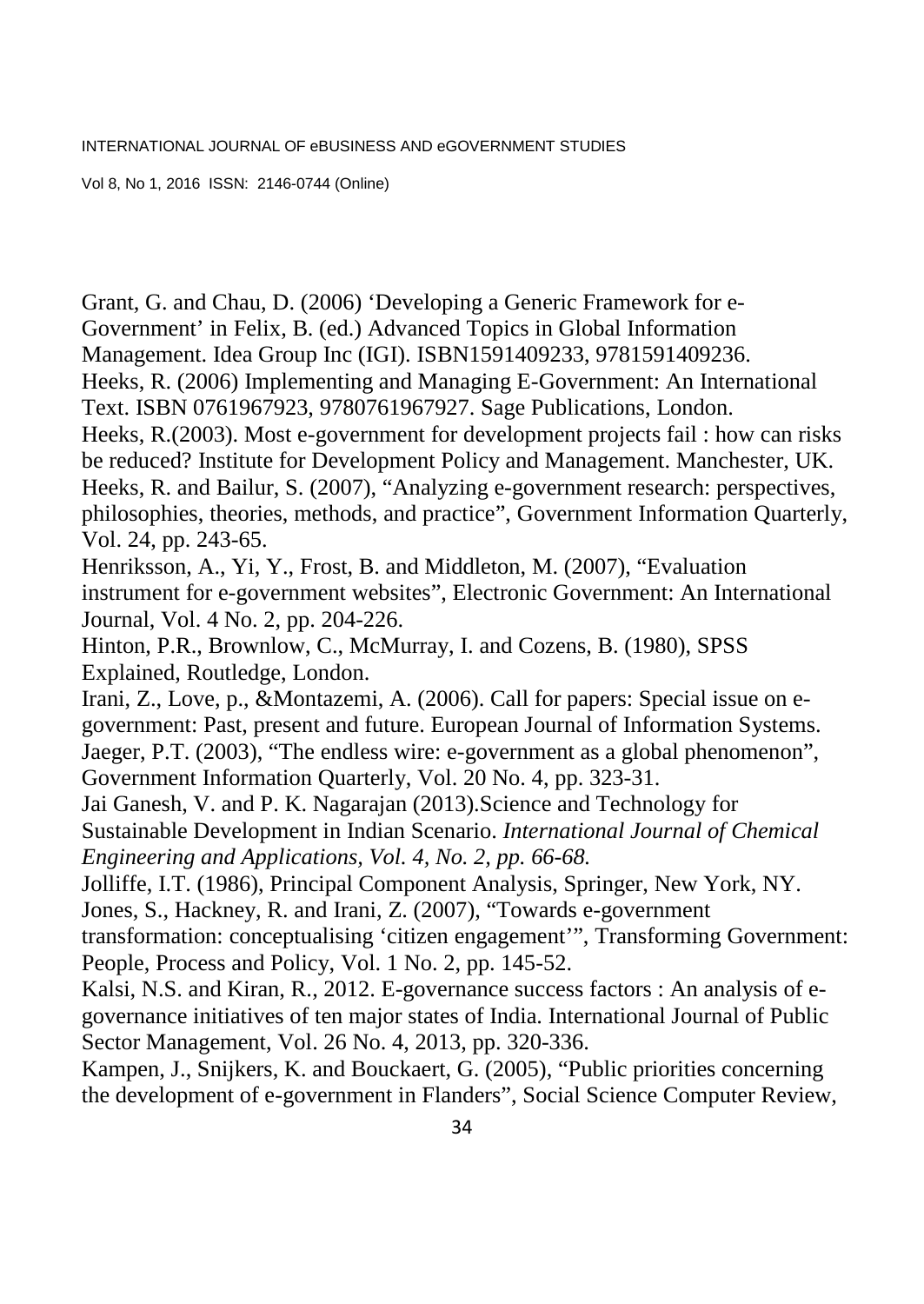Grant, G. and Chau, D. (2006) 'Developing a Generic Framework for e-Government' in Felix, B. (ed.) Advanced Topics in Global Information Management. Idea Group Inc (IGI). ISBN1591409233, 9781591409236. Heeks, R. (2006) Implementing and Managing E-Government: An International Text. ISBN 0761967923, 9780761967927. Sage Publications, London. Heeks, R.(2003). Most e-government for development projects fail : how can risks be reduced? Institute for Development Policy and Management. Manchester, UK. Heeks, R. and Bailur, S. (2007), "Analyzing e-government research: perspectives, philosophies, theories, methods, and practice", Government Information Quarterly, Vol. 24, pp. 243-65. Henriksson, A., Yi, Y., Frost, B. and Middleton, M. (2007), "Evaluation instrument for e-government websites", Electronic Government: An International Journal, Vol. 4 No. 2, pp. 204-226. Hinton, P.R., Brownlow, C., McMurray, I. and Cozens, B. (1980), SPSS Explained, Routledge, London. Irani, Z., Love, p., &Montazemi, A. (2006). Call for papers: Special issue on egovernment: Past, present and future. European Journal of Information Systems. Jaeger, P.T. (2003), "The endless wire: e-government as a global phenomenon", Government Information Quarterly, Vol. 20 No. 4, pp. 323-31. Jai Ganesh, V. and P. K. Nagarajan (2013).Science and Technology for Sustainable Development in Indian Scenario. *International Journal of Chemical Engineering and Applications, Vol. 4, No. 2, pp. 66-68.* Jolliffe, I.T. (1986), Principal Component Analysis, Springer, New York, NY. Jones, S., Hackney, R. and Irani, Z. (2007), "Towards e-government transformation: conceptualising 'citizen engagement'", Transforming Government: People, Process and Policy, Vol. 1 No. 2, pp. 145-52. Kalsi, N.S. and Kiran, R., 2012. E-governance success factors : An analysis of egovernance initiatives of ten major states of India. International Journal of Public Sector Management, Vol. 26 No. 4, 2013, pp. 320-336.

Kampen, J., Snijkers, K. and Bouckaert, G. (2005), "Public priorities concerning the development of e-government in Flanders", Social Science Computer Review,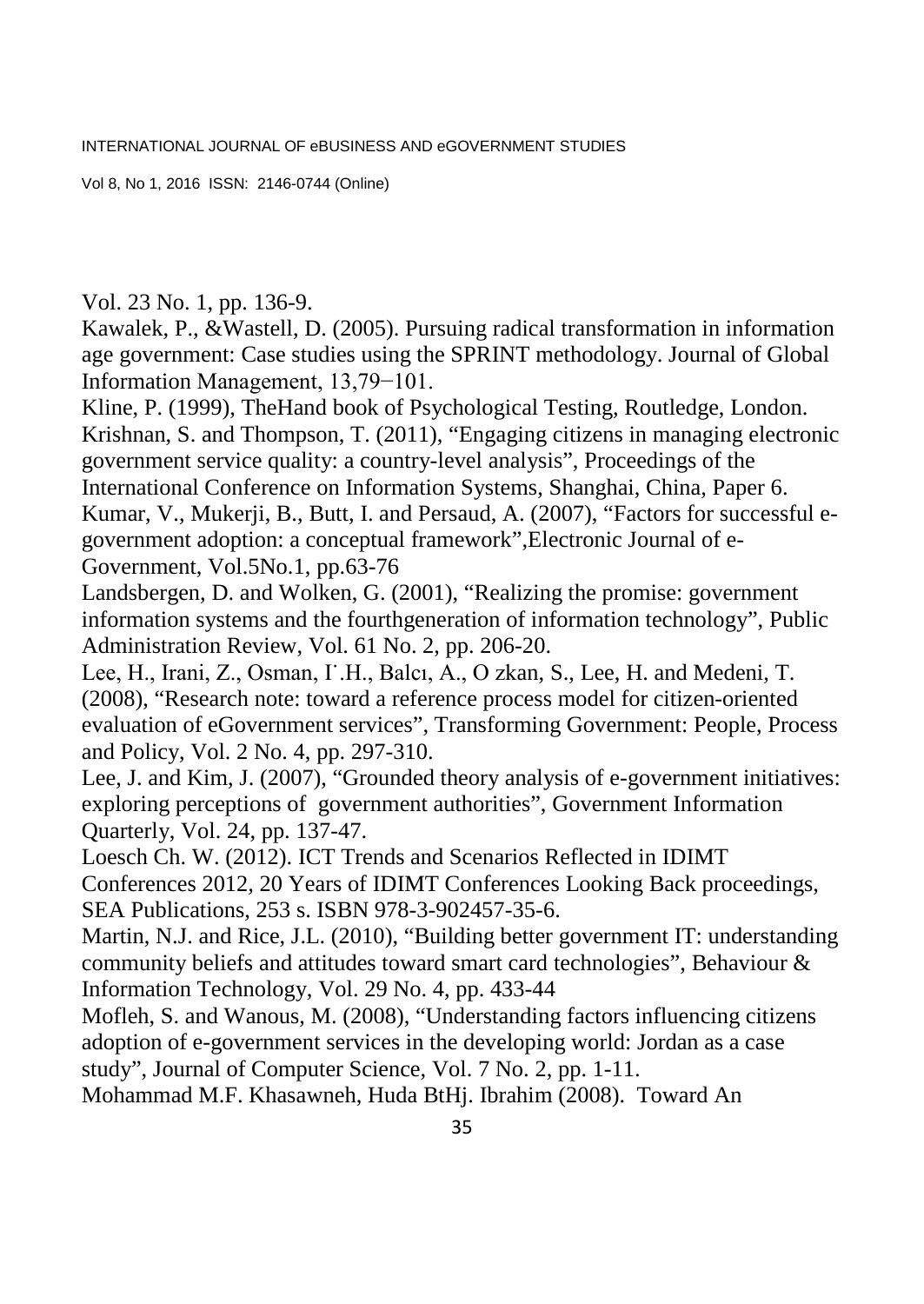Vol. 23 No. 1, pp. 136-9.

Kawalek, P., &Wastell, D. (2005). Pursuing radical transformation in information age government: Case studies using the SPRINT methodology. Journal of Global Information Management, 13,79−101.

Kline, P. (1999), TheHand book of Psychological Testing, Routledge, London. Krishnan, S. and Thompson, T. (2011), "Engaging citizens in managing electronic government service quality: a country-level analysis", Proceedings of the International Conference on Information Systems, Shanghai, China, Paper 6. Kumar, V., Mukerji, B., Butt, I. and Persaud, A. (2007), "Factors for successful egovernment adoption: a conceptual framework",Electronic Journal of e-

Government, Vol.5No.1, pp.63-76

Landsbergen, D. and Wolken, G. (2001), "Realizing the promise: government information systems and the fourthgeneration of information technology", Public Administration Review, Vol. 61 No. 2, pp. 206-20.

Lee, H., Irani, Z., Osman, I˙.H., Balcı, A., O zkan, S., Lee, H. and Medeni, T. (2008), "Research note: toward a reference process model for citizen-oriented evaluation of eGovernment services", Transforming Government: People, Process and Policy, Vol. 2 No. 4, pp. 297-310.

Lee, J. and Kim, J. (2007), "Grounded theory analysis of e-government initiatives: exploring perceptions of government authorities", Government Information Quarterly, Vol. 24, pp. 137-47.

Loesch Ch. W. (2012). ICT Trends and Scenarios Reflected in IDIMT Conferences 2012*,* 20 Years of IDIMT Conferences Looking Back proceedings, SEA Publications, 253 s. ISBN 978-3-902457-35-6.

Martin, N.J. and Rice, J.L. (2010), "Building better government IT: understanding community beliefs and attitudes toward smart card technologies", Behaviour & Information Technology, Vol. 29 No. 4, pp. 433-44

Mofleh, S. and Wanous, M. (2008), "Understanding factors influencing citizens adoption of e-government services in the developing world: Jordan as a case study", Journal of Computer Science, Vol. 7 No. 2, pp. 1-11.

Mohammad M.F. Khasawneh, Huda BtHj. Ibrahim (2008). Toward An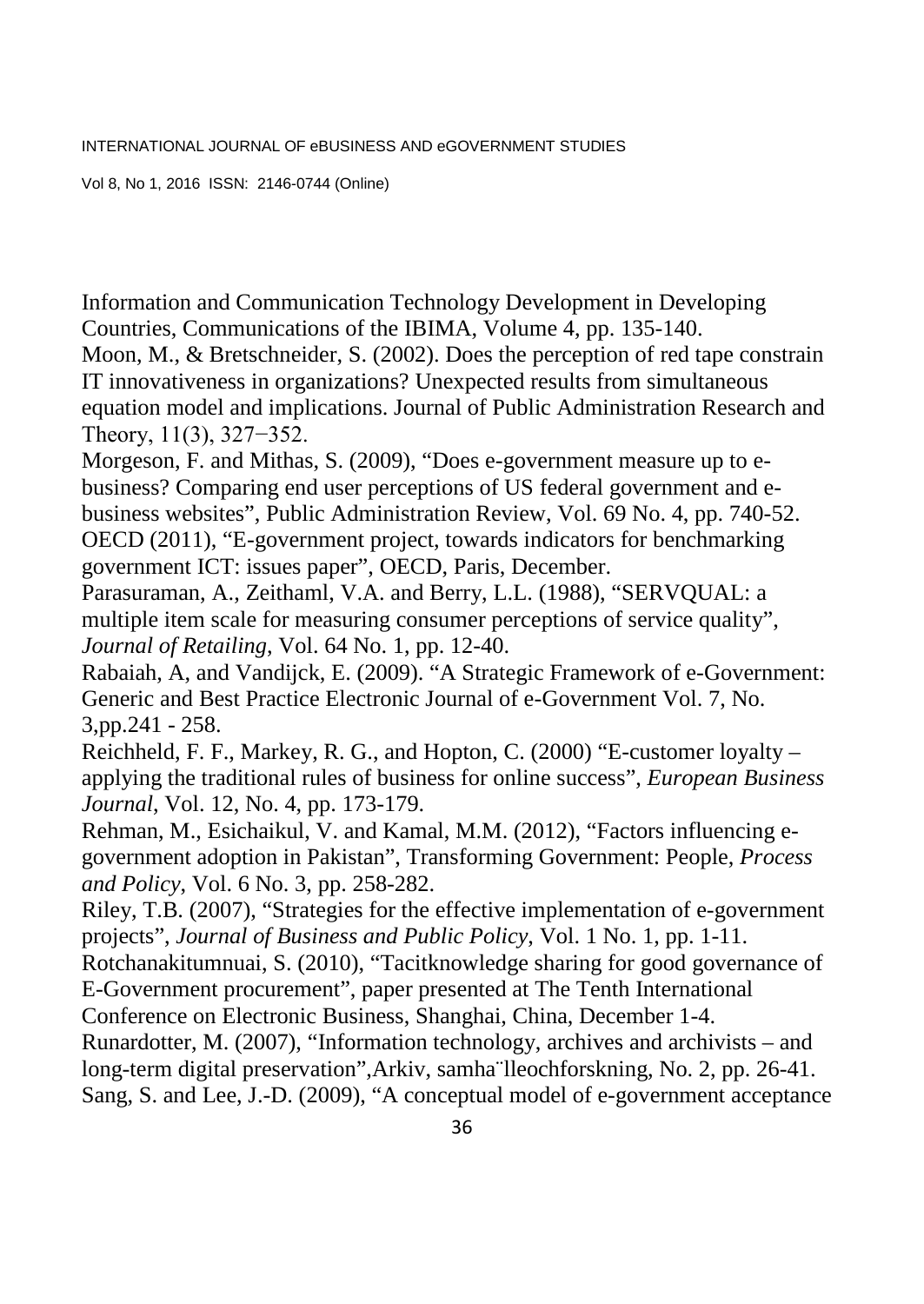Information and Communication Technology Development in Developing Countries, Communications of the IBIMA, Volume 4, pp. 135-140.

Moon, M., & Bretschneider, S. (2002). Does the perception of red tape constrain IT innovativeness in organizations? Unexpected results from simultaneous equation model and implications. Journal of Public Administration Research and Theory, 11(3), 327−352.

Morgeson, F. and Mithas, S. (2009), "Does e-government measure up to ebusiness? Comparing end user perceptions of US federal government and ebusiness websites", Public Administration Review, Vol. 69 No. 4, pp. 740-52. OECD (2011), "E-government project, towards indicators for benchmarking government ICT: issues paper", OECD, Paris, December.

Parasuraman, A., Zeithaml, V.A. and Berry, L.L. (1988), "SERVQUAL: a multiple item scale for measuring consumer perceptions of service quality", *Journal of Retailing*, Vol. 64 No. 1, pp. 12-40.

Rabaiah, A, and Vandijck, E. (2009). "A Strategic Framework of e-Government: Generic and Best Practice Electronic Journal of e-Government Vol. 7, No. 3,pp.241 - 258.

Reichheld, F. F., Markey, R. G., and Hopton, C. (2000) "E-customer loyalty – applying the traditional rules of business for online success", *European Business Journal*, Vol. 12, No. 4, pp. 173-179.

Rehman, M., Esichaikul, V. and Kamal, M.M. (2012), "Factors influencing egovernment adoption in Pakistan", Transforming Government: People, *Process and Policy*, Vol. 6 No. 3, pp. 258-282.

Riley, T.B. (2007), "Strategies for the effective implementation of e-government projects", *Journal of Business and Public Policy*, Vol. 1 No. 1, pp. 1-11.

Rotchanakitumnuai, S. (2010), "Tacitknowledge sharing for good governance of E-Government procurement", paper presented at The Tenth International

Conference on Electronic Business, Shanghai, China, December 1-4.

Runardotter, M. (2007), "Information technology, archives and archivists – and long-term digital preservation",Arkiv, samha¨lleochforskning, No. 2, pp. 26-41. Sang, S. and Lee, J.-D. (2009), "A conceptual model of e-government acceptance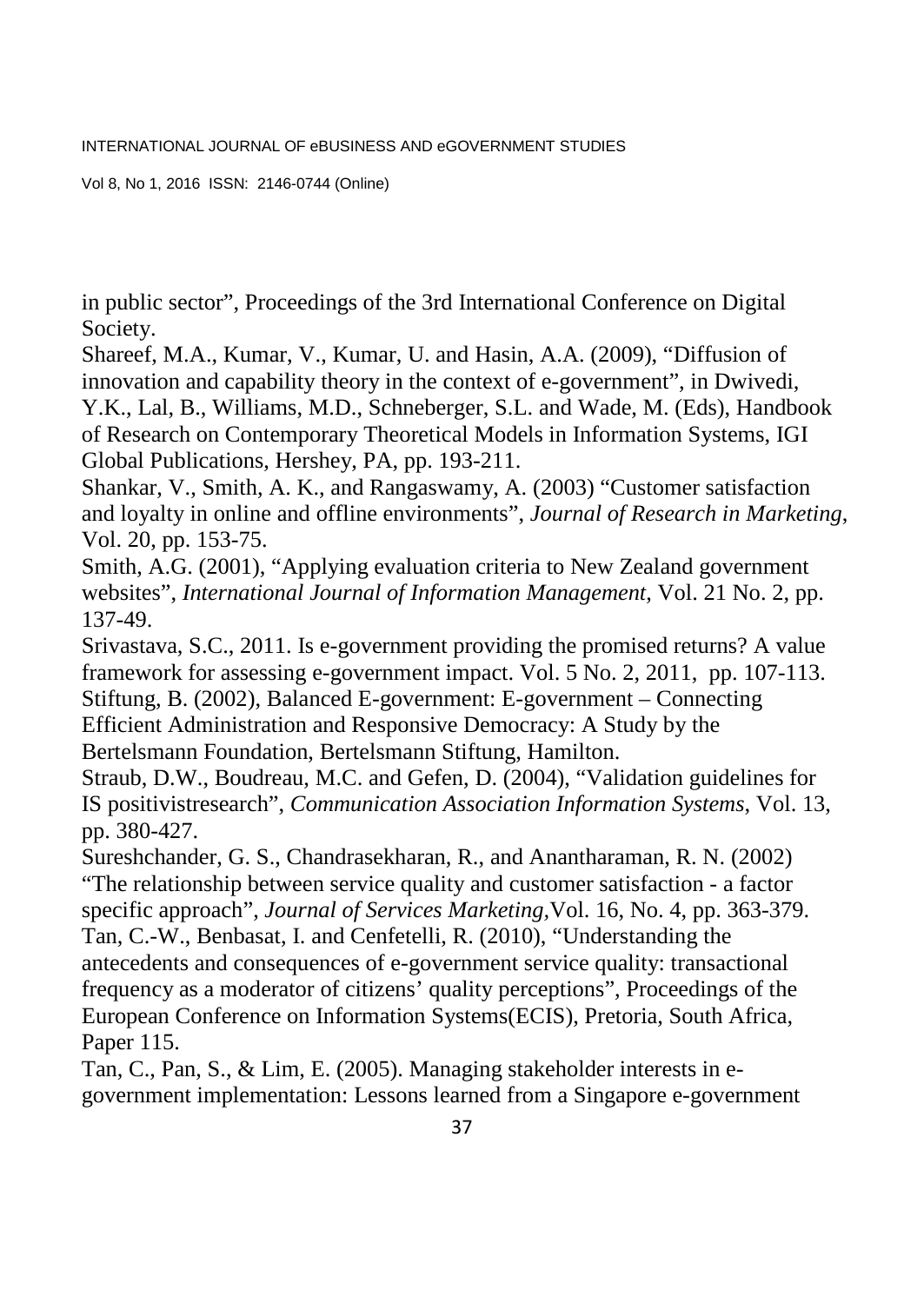in public sector", Proceedings of the 3rd International Conference on Digital Society.

Shareef, M.A., Kumar, V., Kumar, U. and Hasin, A.A. (2009), "Diffusion of innovation and capability theory in the context of e-government", in Dwivedi, Y.K., Lal, B., Williams, M.D., Schneberger, S.L. and Wade, M. (Eds), Handbook of Research on Contemporary Theoretical Models in Information Systems, IGI Global Publications, Hershey, PA, pp. 193-211.

Shankar, V., Smith, A. K., and Rangaswamy, A. (2003) "Customer satisfaction and loyalty in online and offline environments", *Journal of Research in Marketing*, Vol. 20, pp. 153-75.

Smith, A.G. (2001), "Applying evaluation criteria to New Zealand government websites", *International Journal of Information Management*, Vol. 21 No. 2, pp. 137-49.

Srivastava, S.C., 2011. Is e-government providing the promised returns? A value framework for assessing e-government impact. Vol. 5 No. 2, 2011, pp. 107-113. Stiftung, B. (2002), Balanced E-government: E-government – Connecting Efficient Administration and Responsive Democracy: A Study by the Bertelsmann Foundation, Bertelsmann Stiftung, Hamilton.

Straub, D.W., Boudreau, M.C. and Gefen, D. (2004), "Validation guidelines for IS positivistresearch", *Communication Association Information Systems*, Vol. 13, pp. 380-427.

Sureshchander, G. S., Chandrasekharan, R., and Anantharaman, R. N. (2002) "The relationship between service quality and customer satisfaction - a factor specific approach", *Journal of Services Marketing,*Vol. 16, No. 4, pp. 363-379. Tan, C.-W., Benbasat, I. and Cenfetelli, R. (2010), "Understanding the antecedents and consequences of e-government service quality: transactional frequency as a moderator of citizens' quality perceptions", Proceedings of the European Conference on Information Systems(ECIS), Pretoria, South Africa, Paper 115.

Tan, C., Pan, S., & Lim, E. (2005). Managing stakeholder interests in egovernment implementation: Lessons learned from a Singapore e-government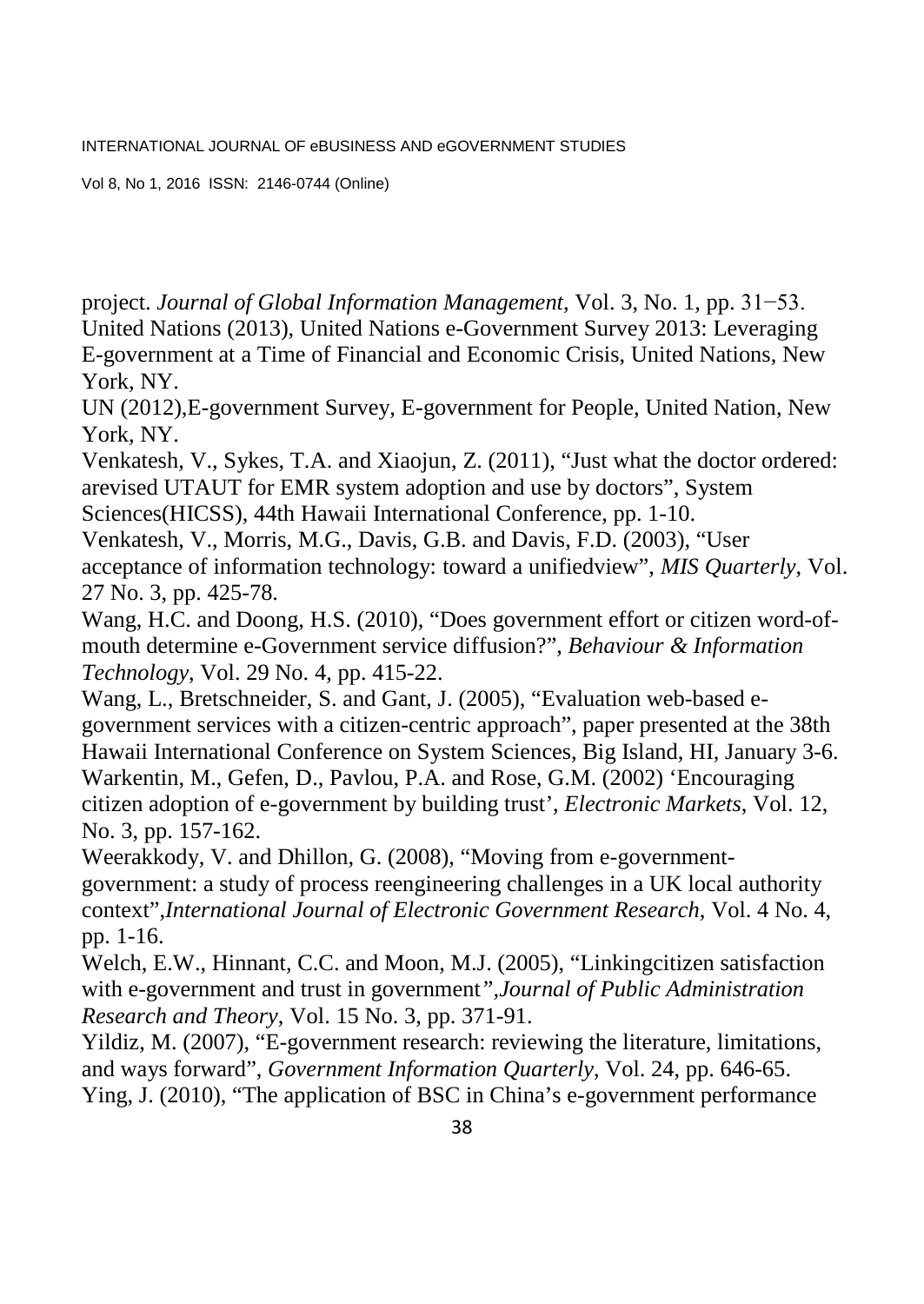INTERNATIONAL JOURNAL OF eBUSINESS AND eGOVERNMENT STUDIES

Vol 8, No 1, 2016 ISSN: 2146-0744 (Online)

project. *Journal of Global Information Management*, Vol. 3, No. 1, pp. 31−53. United Nations (2013), United Nations e-Government Survey 2013: Leveraging E-government at a Time of Financial and Economic Crisis, United Nations, New York, NY.

UN (2012),E-government Survey, E-government for People, United Nation, New York, NY.

Venkatesh, V., Sykes, T.A. and Xiaojun, Z. (2011), "Just what the doctor ordered: arevised UTAUT for EMR system adoption and use by doctors", System

Sciences(HICSS), 44th Hawaii International Conference, pp. 1-10.

Venkatesh, V., Morris, M.G., Davis, G.B. and Davis, F.D. (2003), "User acceptance of information technology: toward a unifiedview", *MIS Quarterly*, Vol. 27 No. 3, pp. 425-78.

Wang, H.C. and Doong, H.S. (2010), "Does government effort or citizen word-ofmouth determine e-Government service diffusion?", *Behaviour & Information Technology*, Vol. 29 No. 4, pp. 415-22.

Wang, L., Bretschneider, S. and Gant, J. (2005), "Evaluation web-based egovernment services with a citizen-centric approach", paper presented at the 38th Hawaii International Conference on System Sciences, Big Island, HI, January 3-6. Warkentin, M., Gefen, D., Pavlou, P.A. and Rose, G.M. (2002) 'Encouraging citizen adoption of e-government by building trust', *Electronic Markets*, Vol. 12, No. 3, pp. 157-162.

Weerakkody, V. and Dhillon, G. (2008), "Moving from e-governmentgovernment: a study of process reengineering challenges in a UK local authority context",*International Journal of Electronic Government Research*, Vol. 4 No. 4, pp. 1-16.

Welch, E.W., Hinnant, C.C. and Moon, M.J. (2005), "Linkingcitizen satisfaction with e-government and trust in government*",Journal of Public Administration Research and Theory*, Vol. 15 No. 3, pp. 371-91.

Yildiz, M. (2007), "E-government research: reviewing the literature, limitations, and ways forward", *Government Information Quarterly*, Vol. 24, pp. 646-65. Ying, J. (2010), "The application of BSC in China's e-government performance